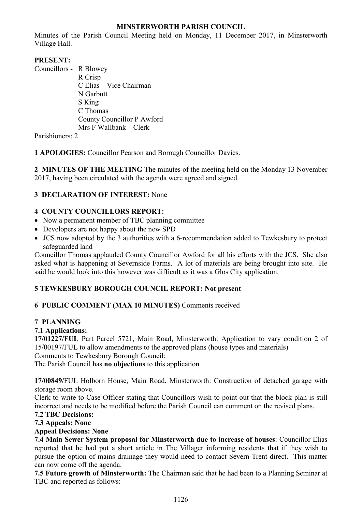## **MINSTERWORTH PARISH COUNCIL**

Minutes of the Parish Council Meeting held on Monday, 11 December 2017, in Minsterworth Village Hall.

## **PRESENT:**

Councillors - R Blowey R Crisp C Elias – Vice Chairman N Garbutt S King C Thomas County Councillor P Awford Mrs F Wallbank – Clerk

Parishioners: 2

**1 APOLOGIES:** Councillor Pearson and Borough Councillor Davies.

**2 MINUTES OF THE MEETING** The minutes of the meeting held on the Monday 13 November 2017, having been circulated with the agenda were agreed and signed.

## **3 DECLARATION OF INTEREST:** None

## **4 COUNTY COUNCILLORS REPORT:**

- Now a permanent member of TBC planning committee
- Developers are not happy about the new SPD
- JCS now adopted by the 3 authorities with a 6-recommendation added to Tewkesbury to protect safeguarded land

Councillor Thomas applauded County Councillor Awford for all his efforts with the JCS. She also asked what is happening at Severnside Farms. A lot of materials are being brought into site. He said he would look into this however was difficult as it was a Glos City application.

## **5 TEWKESBURY BOROUGH COUNCIL REPORT: Not present**

## **6 PUBLIC COMMENT (MAX 10 MINUTES)** Comments received

## **7 PLANNING**

## **7.1 Applications:**

**17/01227/FUL** Part Parcel 5721, Main Road, Minsterworth: Application to vary condition 2 of 15/00197/FUL to allow amendments to the approved plans (house types and materials) Comments to Tewkesbury Borough Council:

The Parish Council has **no objections** to this application

**17/00849/**FUL Holborn House, Main Road, Minsterworth: Construction of detached garage with storage room above.

Clerk to write to Case Officer stating that Councillors wish to point out that the block plan is still incorrect and needs to be modified before the Parish Council can comment on the revised plans.

# **7.2 TBC Decisions:**

## **7.3 Appeals: None**

## **Appeal Decisions: None**

**7.4 Main Sewer System proposal for Minsterworth due to increase of houses**: Councillor Elias reported that he had put a short article in The Villager informing residents that if they wish to pursue the option of mains drainage they would need to contact Severn Trent direct. This matter can now come off the agenda.

**7.5 Future growth of Minsterworth:** The Chairman said that he had been to a Planning Seminar at TBC and reported as follows: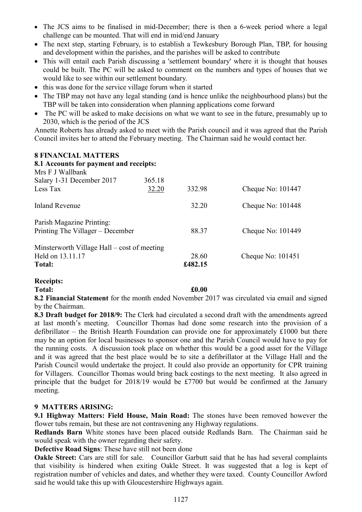- The JCS aims to be finalised in mid-December; there is then a 6-week period where a legal challenge can be mounted. That will end in mid/end January
- The next step, starting February, is to establish a Tewkesbury Borough Plan, TBP, for housing and development within the parishes, and the parishes will be asked to contribute
- This will entail each Parish discussing a 'settlement boundary' where it is thought that houses could be built. The PC will be asked to comment on the numbers and types of houses that we would like to see within our settlement boundary.
- this was done for the service village forum when it started
- The TBP may not have any legal standing (and is hence unlike the neighbourhood plans) but the TBP will be taken into consideration when planning applications come forward
- The PC will be asked to make decisions on what we want to see in the future, presumably up to 2030, which is the period of the JCS

Annette Roberts has already asked to meet with the Parish council and it was agreed that the Parish Council invites her to attend the February meeting. The Chairman said he would contact her.

### **8 FINANCIAL MATTERS**

| 8.1 Accounts for payment and receipts:<br>Mrs F J Wallbank |        |         |                     |
|------------------------------------------------------------|--------|---------|---------------------|
| Salary 1-31 December 2017                                  | 365.18 |         |                     |
| Less Tax                                                   | 32.20  | 332.98  | Cheque No: $101447$ |
| Inland Revenue                                             |        | 32.20   | Cheque No: $101448$ |
| Parish Magazine Printing:                                  |        |         |                     |
| Printing The Villager – December                           |        | 88.37   | Cheque No: $101449$ |
| Minsterworth Village Hall – cost of meeting                |        |         |                     |
| Held on 13.11.17                                           |        | 28.60   | Cheque No: 101451   |
| <b>Total:</b>                                              |        | £482.15 |                     |

#### **Receipts:**

**Total: £0.00**

**8.2 Financial Statement** for the month ended November 2017 was circulated via email and signed by the Chairman.

**8.3 Draft budget for 2018/9:** The Clerk had circulated a second draft with the amendments agreed at last month's meeting. Councillor Thomas had done some research into the provision of a defibrillator – the British Hearth Foundation can provide one for approximately £1000 but there may be an option for local businesses to sponsor one and the Parish Council would have to pay for the running costs. A discussion took place on whether this would be a good asset for the Village and it was agreed that the best place would be to site a defibrillator at the Village Hall and the Parish Council would undertake the project. It could also provide an opportunity for CPR training for Villagers. Councillor Thomas would bring back costings to the next meeting. It also agreed in principle that the budget for 2018/19 would be £7700 but would be confirmed at the January meeting.

### **9 MATTERS ARISING:**

**9.1 Highway Matters: Field House, Main Road:** The stones have been removed however the flower tubs remain, but these are not contravening any Highway regulations.

**Redlands Barn** White stones have been placed outside Redlands Barn. The Chairman said he would speak with the owner regarding their safety.

**Defective Road Signs**: These have still not been done

**Oakle Street:** Cars are still for sale. Councillor Garbutt said that he has had several complaints that visibility is hindered when exiting Oakle Street. It was suggested that a log is kept of registration number of vehicles and dates, and whether they were taxed. County Councillor Awford said he would take this up with Gloucestershire Highways again.